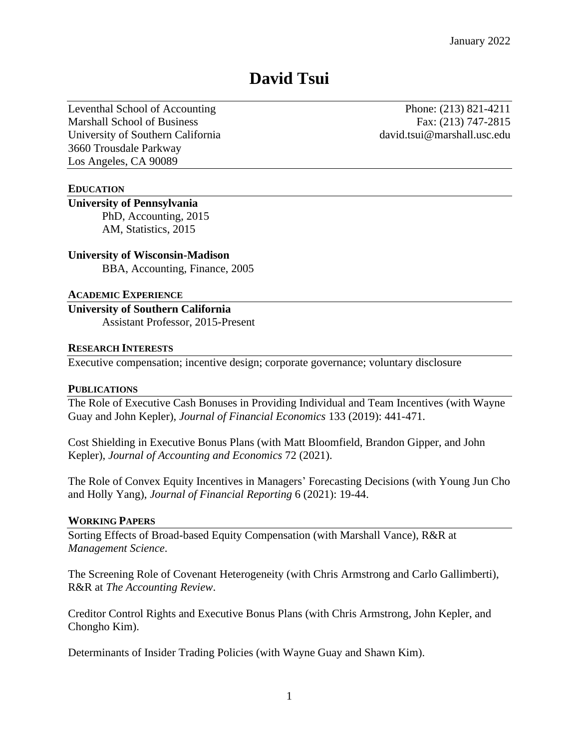# **David Tsui**

Leventhal School of Accounting Phone: (213) 821-4211 Marshall School of Business Fax: (213) 747-2815 University of Southern California david.tsui@marshall.usc.edu 3660 Trousdale Parkway Los Angeles, CA 90089

## **EDUCATION**

# **University of Pennsylvania**

PhD, Accounting, 2015 AM, Statistics, 2015

### **University of Wisconsin-Madison**

BBA, Accounting, Finance, 2005

#### **ACADEMIC EXPERIENCE**

**University of Southern California** Assistant Professor, 2015-Present

#### **RESEARCH INTERESTS**

Executive compensation; incentive design; corporate governance; voluntary disclosure

#### **PUBLICATIONS**

The Role of Executive Cash Bonuses in Providing Individual and Team Incentives (with Wayne Guay and John Kepler), *Journal of Financial Economics* 133 (2019): 441-471.

Cost Shielding in Executive Bonus Plans (with Matt Bloomfield, Brandon Gipper, and John Kepler), *Journal of Accounting and Economics* 72 (2021).

The Role of Convex Equity Incentives in Managers' Forecasting Decisions (with Young Jun Cho and Holly Yang), *Journal of Financial Reporting* 6 (2021): 19-44.

#### **WORKING PAPERS**

Sorting Effects of Broad-based Equity Compensation (with Marshall Vance), R&R at *Management Science*.

The Screening Role of Covenant Heterogeneity (with Chris Armstrong and Carlo Gallimberti), R&R at *The Accounting Review*.

Creditor Control Rights and Executive Bonus Plans (with Chris Armstrong, John Kepler, and Chongho Kim).

Determinants of Insider Trading Policies (with Wayne Guay and Shawn Kim).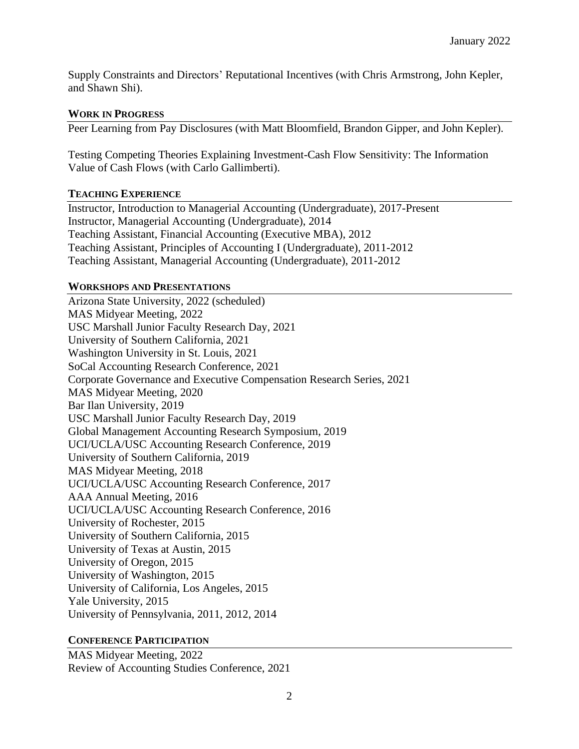Supply Constraints and Directors' Reputational Incentives (with Chris Armstrong, John Kepler, and Shawn Shi).

## **WORK IN PROGRESS**

Peer Learning from Pay Disclosures (with Matt Bloomfield, Brandon Gipper, and John Kepler).

Testing Competing Theories Explaining Investment-Cash Flow Sensitivity: The Information Value of Cash Flows (with Carlo Gallimberti).

## **TEACHING EXPERIENCE**

Instructor, Introduction to Managerial Accounting (Undergraduate), 2017-Present Instructor, Managerial Accounting (Undergraduate), 2014 Teaching Assistant, Financial Accounting (Executive MBA), 2012 Teaching Assistant, Principles of Accounting I (Undergraduate), 2011-2012 Teaching Assistant, Managerial Accounting (Undergraduate), 2011-2012

## **WORKSHOPS AND PRESENTATIONS**

Arizona State University, 2022 (scheduled) MAS Midyear Meeting, 2022 USC Marshall Junior Faculty Research Day, 2021 University of Southern California, 2021 Washington University in St. Louis, 2021 SoCal Accounting Research Conference, 2021 Corporate Governance and Executive Compensation Research Series, 2021 MAS Midyear Meeting, 2020 Bar Ilan University, 2019 USC Marshall Junior Faculty Research Day, 2019 Global Management Accounting Research Symposium, 2019 UCI/UCLA/USC Accounting Research Conference, 2019 University of Southern California, 2019 MAS Midyear Meeting, 2018 UCI/UCLA/USC Accounting Research Conference, 2017 AAA Annual Meeting, 2016 UCI/UCLA/USC Accounting Research Conference, 2016 University of Rochester, 2015 University of Southern California, 2015 University of Texas at Austin, 2015 University of Oregon, 2015 University of Washington, 2015 University of California, Los Angeles, 2015 Yale University, 2015 University of Pennsylvania, 2011, 2012, 2014

# **CONFERENCE PARTICIPATION**

MAS Midyear Meeting, 2022 Review of Accounting Studies Conference, 2021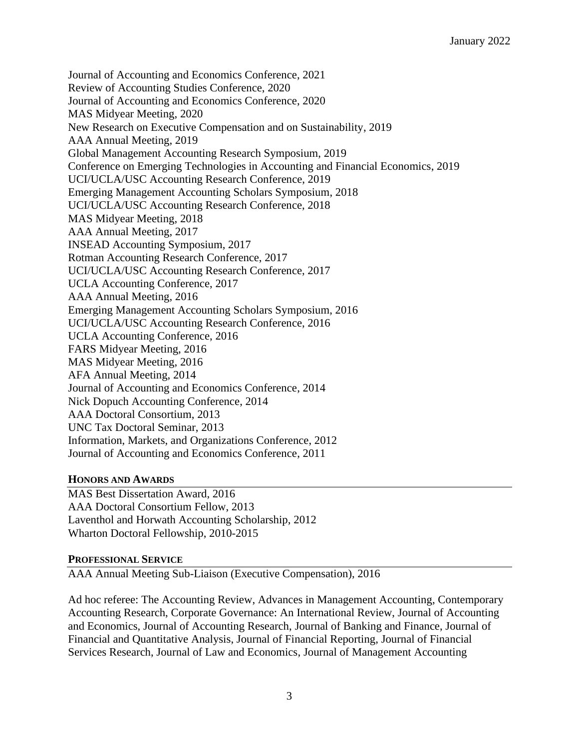Journal of Accounting and Economics Conference, 2021 Review of Accounting Studies Conference, 2020 Journal of Accounting and Economics Conference, 2020 MAS Midyear Meeting, 2020 New Research on Executive Compensation and on Sustainability, 2019 AAA Annual Meeting, 2019 Global Management Accounting Research Symposium, 2019 Conference on Emerging Technologies in Accounting and Financial Economics, 2019 UCI/UCLA/USC Accounting Research Conference, 2019 Emerging Management Accounting Scholars Symposium, 2018 UCI/UCLA/USC Accounting Research Conference, 2018 MAS Midyear Meeting, 2018 AAA Annual Meeting, 2017 INSEAD Accounting Symposium, 2017 Rotman Accounting Research Conference, 2017 UCI/UCLA/USC Accounting Research Conference, 2017 UCLA Accounting Conference, 2017 AAA Annual Meeting, 2016 Emerging Management Accounting Scholars Symposium, 2016 UCI/UCLA/USC Accounting Research Conference, 2016 UCLA Accounting Conference, 2016 FARS Midyear Meeting, 2016 MAS Midyear Meeting, 2016 AFA Annual Meeting, 2014 Journal of Accounting and Economics Conference, 2014 Nick Dopuch Accounting Conference, 2014 AAA Doctoral Consortium, 2013 UNC Tax Doctoral Seminar, 2013 Information, Markets, and Organizations Conference, 2012 Journal of Accounting and Economics Conference, 2011

# **HONORS AND AWARDS**

MAS Best Dissertation Award, 2016 AAA Doctoral Consortium Fellow, 2013 Laventhol and Horwath Accounting Scholarship, 2012 Wharton Doctoral Fellowship, 2010-2015

## **PROFESSIONAL SERVICE**

AAA Annual Meeting Sub-Liaison (Executive Compensation), 2016

Ad hoc referee: The Accounting Review, Advances in Management Accounting, Contemporary Accounting Research, Corporate Governance: An International Review, Journal of Accounting and Economics, Journal of Accounting Research, Journal of Banking and Finance, Journal of Financial and Quantitative Analysis, Journal of Financial Reporting, Journal of Financial Services Research, Journal of Law and Economics, Journal of Management Accounting